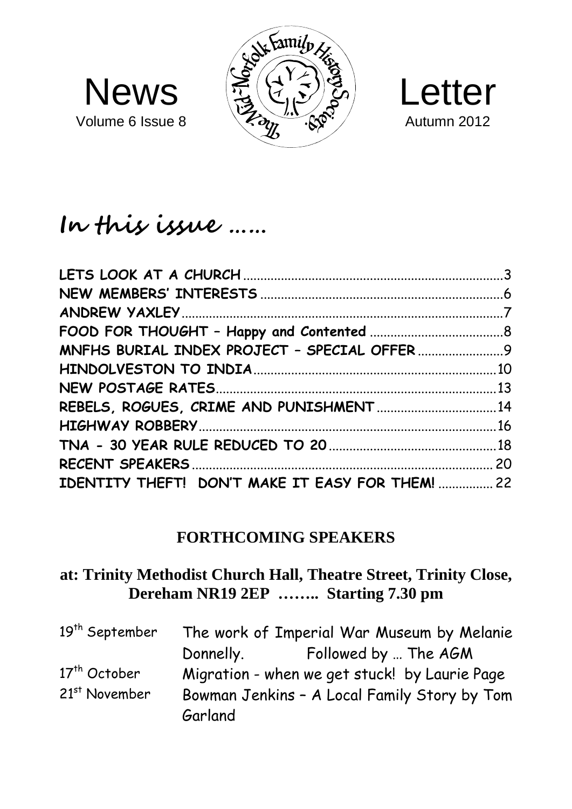



# **In this issue ……**

Volume 6 Issue 8

| IDENTITY THEFT! DON'T MAKE IT EASY FOR THEM!  22 |  |
|--------------------------------------------------|--|
|                                                  |  |

#### **FORTHCOMING SPEAKERS**

### **at: Trinity Methodist Church Hall, Theatre Street, Trinity Close, Dereham NR19 2EP …….. Starting 7.30 pm**

| 19 <sup>th</sup> September | The work of Imperial War Museum by Melanie    |                      |  |
|----------------------------|-----------------------------------------------|----------------------|--|
|                            | Donnelly.                                     | Followed by  The AGM |  |
| 17 <sup>th</sup> October   | Migration - when we get stuck! by Laurie Page |                      |  |
| 21 <sup>st</sup> November  | Bowman Jenkins - A Local Family Story by Tom  |                      |  |
|                            | Garland                                       |                      |  |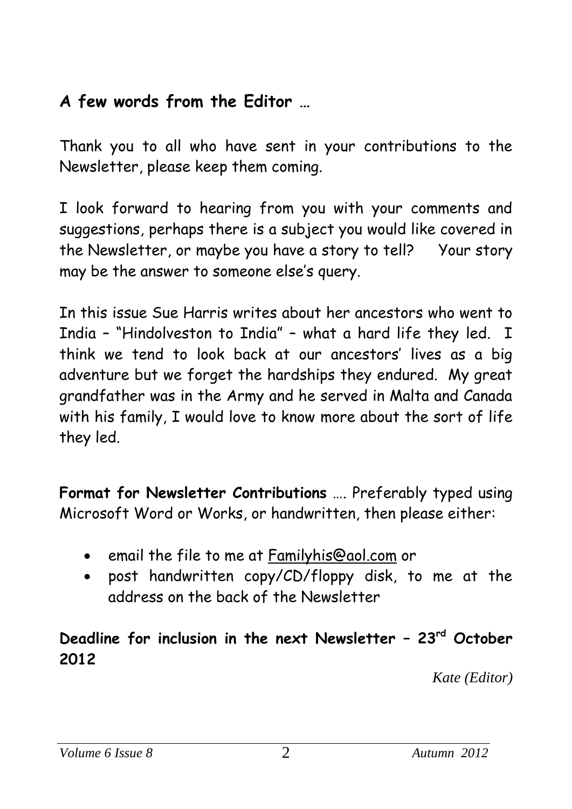# **A few words from the Editor …**

Thank you to all who have sent in your contributions to the Newsletter, please keep them coming.

I look forward to hearing from you with your comments and suggestions, perhaps there is a subject you would like covered in the Newsletter, or maybe you have a story to tell? Your story may be the answer to someone else's query.

In this issue Sue Harris writes about her ancestors who went to India – "Hindolveston to India" – what a hard life they led. I think we tend to look back at our ancestors' lives as a big adventure but we forget the hardships they endured. My great grandfather was in the Army and he served in Malta and Canada with his family, I would love to know more about the sort of life they led.

**Format for Newsletter Contributions** …. Preferably typed using Microsoft Word or Works, or handwritten, then please either:

- email the file to me at [Familyhis@aol.com](mailto:Familyhis@aol.com) or
- post handwritten copy/CD/floppy disk, to me at the address on the back of the Newsletter

## **Deadline for inclusion in the next Newsletter – 23rd October 2012**

 *Kate (Editor)*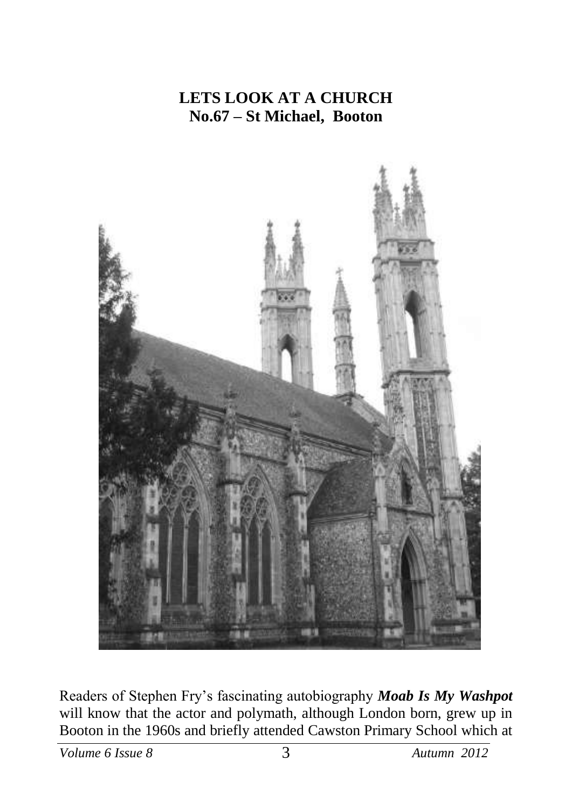## **LETS LOOK AT A CHURCH No.67 – St Michael, Booton**



Readers of Stephen Fry's fascinating autobiography *Moab Is My Washpot*  will know that the actor and polymath, although London born, grew up in Booton in the 1960s and briefly attended Cawston Primary School which at

*Volume 6 Issue 8* 3 *Autumn 2012*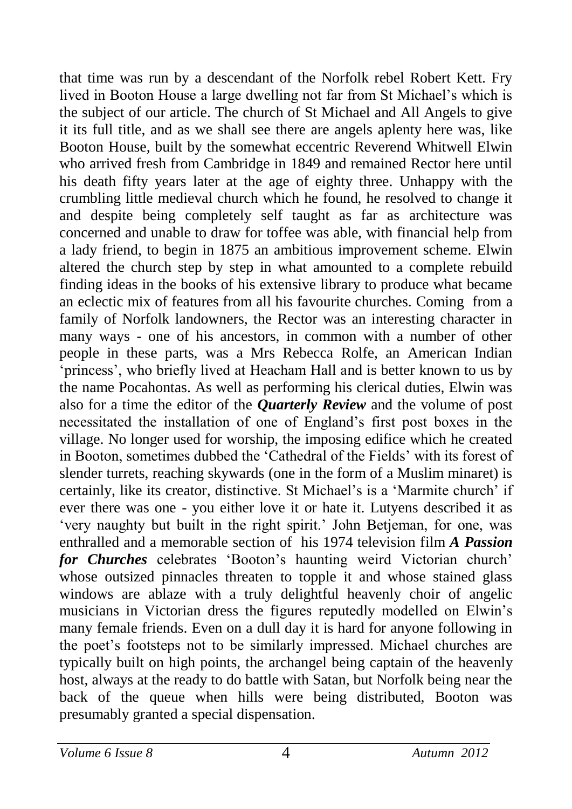that time was run by a descendant of the Norfolk rebel Robert Kett. Fry lived in Booton House a large dwelling not far from St Michael's which is the subject of our article. The church of St Michael and All Angels to give it its full title, and as we shall see there are angels aplenty here was, like Booton House, built by the somewhat eccentric Reverend Whitwell Elwin who arrived fresh from Cambridge in 1849 and remained Rector here until his death fifty years later at the age of eighty three. Unhappy with the crumbling little medieval church which he found, he resolved to change it and despite being completely self taught as far as architecture was concerned and unable to draw for toffee was able, with financial help from a lady friend, to begin in 1875 an ambitious improvement scheme. Elwin altered the church step by step in what amounted to a complete rebuild finding ideas in the books of his extensive library to produce what became an eclectic mix of features from all his favourite churches. Coming from a family of Norfolk landowners, the Rector was an interesting character in many ways - one of his ancestors, in common with a number of other people in these parts, was a Mrs Rebecca Rolfe, an American Indian 'princess', who briefly lived at Heacham Hall and is better known to us by the name Pocahontas. As well as performing his clerical duties, Elwin was also for a time the editor of the *Quarterly Review* and the volume of post necessitated the installation of one of England's first post boxes in the village. No longer used for worship, the imposing edifice which he created in Booton, sometimes dubbed the 'Cathedral of the Fields' with its forest of slender turrets, reaching skywards (one in the form of a Muslim minaret) is certainly, like its creator, distinctive. St Michael's is a 'Marmite church' if ever there was one - you either love it or hate it. Lutyens described it as 'very naughty but built in the right spirit.' John Betjeman, for one, was enthralled and a memorable section of his 1974 television film *A Passion for Churches* celebrates 'Booton's haunting weird Victorian church' whose outsized pinnacles threaten to topple it and whose stained glass windows are ablaze with a truly delightful heavenly choir of angelic musicians in Victorian dress the figures reputedly modelled on Elwin's many female friends. Even on a dull day it is hard for anyone following in the poet's footsteps not to be similarly impressed. Michael churches are typically built on high points, the archangel being captain of the heavenly host, always at the ready to do battle with Satan, but Norfolk being near the back of the queue when hills were being distributed, Booton was presumably granted a special dispensation.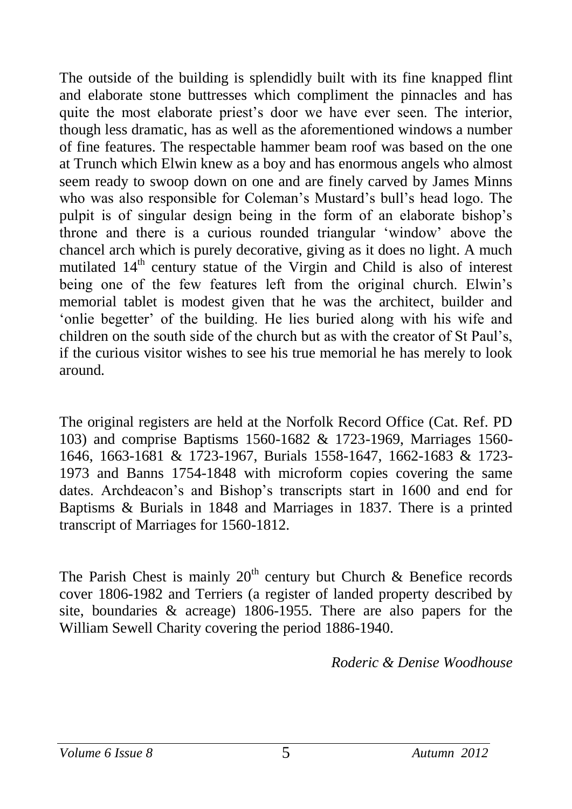The outside of the building is splendidly built with its fine knapped flint and elaborate stone buttresses which compliment the pinnacles and has quite the most elaborate priest's door we have ever seen. The interior, though less dramatic, has as well as the aforementioned windows a number of fine features. The respectable hammer beam roof was based on the one at Trunch which Elwin knew as a boy and has enormous angels who almost seem ready to swoop down on one and are finely carved by James Minns who was also responsible for Coleman's Mustard's bull's head logo. The pulpit is of singular design being in the form of an elaborate bishop's throne and there is a curious rounded triangular 'window' above the chancel arch which is purely decorative, giving as it does no light. A much mutilated  $14<sup>th</sup>$  century statue of the Virgin and Child is also of interest being one of the few features left from the original church. Elwin's memorial tablet is modest given that he was the architect, builder and 'onlie begetter' of the building. He lies buried along with his wife and children on the south side of the church but as with the creator of St Paul's, if the curious visitor wishes to see his true memorial he has merely to look around.

The original registers are held at the Norfolk Record Office (Cat. Ref. PD 103) and comprise Baptisms 1560-1682 & 1723-1969, Marriages 1560- 1646, 1663-1681 & 1723-1967, Burials 1558-1647, 1662-1683 & 1723- 1973 and Banns 1754-1848 with microform copies covering the same dates. Archdeacon's and Bishop's transcripts start in 1600 and end for Baptisms & Burials in 1848 and Marriages in 1837. There is a printed transcript of Marriages for 1560-1812.

The Parish Chest is mainly  $20<sup>th</sup>$  century but Church & Benefice records cover 1806-1982 and Terriers (a register of landed property described by site, boundaries & acreage) 1806-1955. There are also papers for the William Sewell Charity covering the period 1886-1940.

*Roderic & Denise Woodhouse*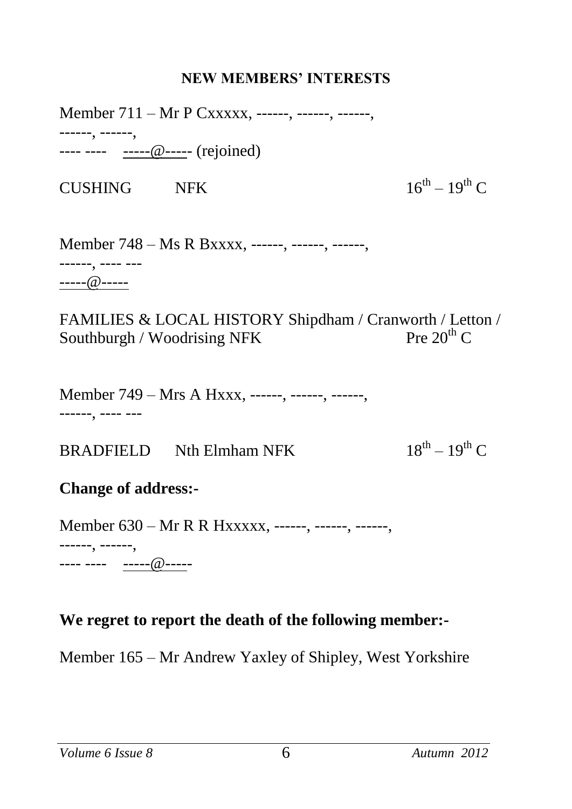#### **NEW MEMBERS' INTERESTS**

Member 711 – Mr P Cxxxxx, ------, ------, ------, ------, ------, ---- ---- -----@----- (rejoined)

CUSHING NFK

 $16^{th} - 19^{th}$  C

Member 748 – Ms R Bxxxx, ------, ------, ------, ------, ---- --- -----@-----

FAMILIES & LOCAL HISTORY Shipdham / Cranworth / Letton /<br>Southburgh / Woodrising NFK Pre 20<sup>th</sup> C Southburgh / Woodrising NFK

Member 749 – Mrs A Hxxx, ------, ------, ------, ------, ---- ---

 $BRADFIELD$  Nth Elmham NFK  $18^{th} - 19^{th}$  C

#### **Change of address:-**

Member 630 – Mr R R Hxxxxx, ------, ------, ------, ------, ------, ---- ---- -----@-----

#### **We regret to report the death of the following member:-**

Member 165 – Mr Andrew Yaxley of Shipley, West Yorkshire

*Volume 6 Issue 8* 6 *Autumn 2012*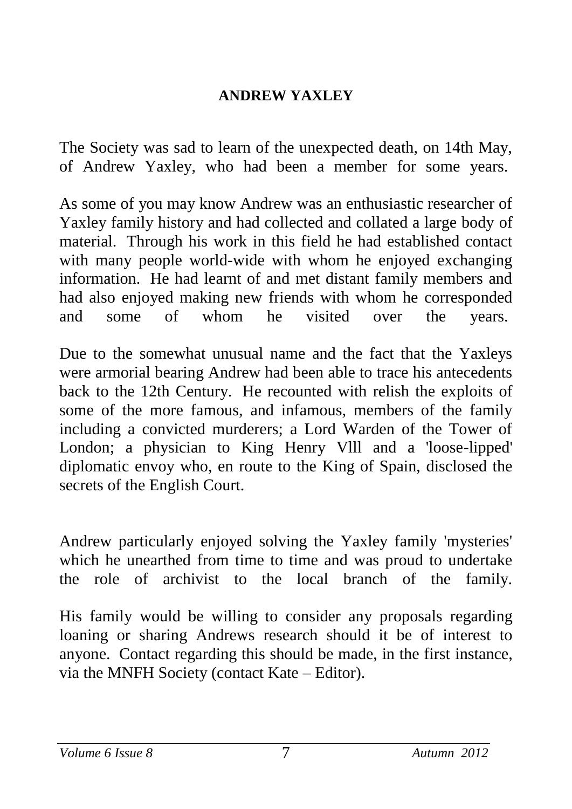## **ANDREW YAXLEY**

The Society was sad to learn of the unexpected death, on 14th May, of Andrew Yaxley, who had been a member for some years.

As some of you may know Andrew was an enthusiastic researcher of Yaxley family history and had collected and collated a large body of material. Through his work in this field he had established contact with many people world-wide with whom he enjoyed exchanging information. He had learnt of and met distant family members and had also enjoyed making new friends with whom he corresponded and some of whom he visited over the years.

Due to the somewhat unusual name and the fact that the Yaxleys were armorial bearing Andrew had been able to trace his antecedents back to the 12th Century. He recounted with relish the exploits of some of the more famous, and infamous, members of the family including a convicted murderers; a Lord Warden of the Tower of London; a physician to King Henry Vlll and a 'loose-lipped' diplomatic envoy who, en route to the King of Spain, disclosed the secrets of the English Court.

Andrew particularly enjoyed solving the Yaxley family 'mysteries' which he unearthed from time to time and was proud to undertake the role of archivist to the local branch of the family.

His family would be willing to consider any proposals regarding loaning or sharing Andrews research should it be of interest to anyone. Contact regarding this should be made, in the first instance, via the MNFH Society (contact Kate – Editor).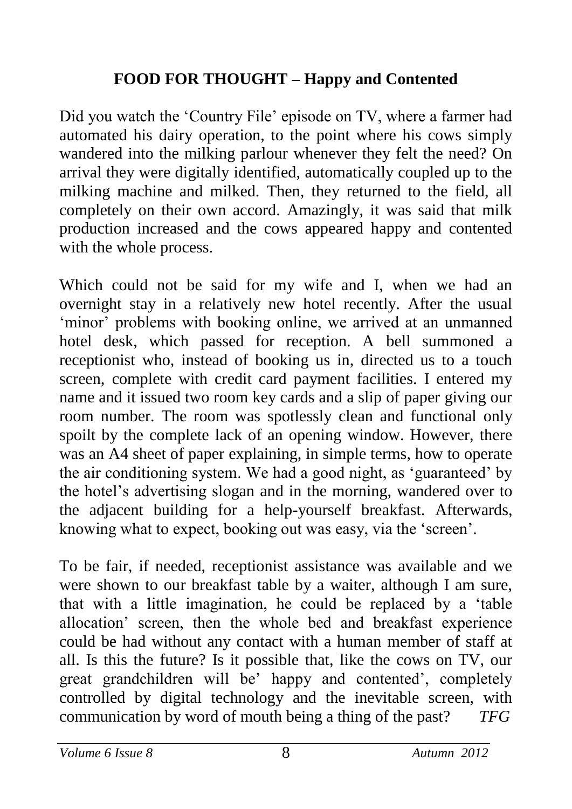## **FOOD FOR THOUGHT – Happy and Contented**

Did you watch the 'Country File' episode on TV, where a farmer had automated his dairy operation, to the point where his cows simply wandered into the milking parlour whenever they felt the need? On arrival they were digitally identified, automatically coupled up to the milking machine and milked. Then, they returned to the field, all completely on their own accord. Amazingly, it was said that milk production increased and the cows appeared happy and contented with the whole process.

Which could not be said for my wife and I, when we had an overnight stay in a relatively new hotel recently. After the usual 'minor' problems with booking online, we arrived at an unmanned hotel desk, which passed for reception. A bell summoned a receptionist who, instead of booking us in, directed us to a touch screen, complete with credit card payment facilities. I entered my name and it issued two room key cards and a slip of paper giving our room number. The room was spotlessly clean and functional only spoilt by the complete lack of an opening window. However, there was an A4 sheet of paper explaining, in simple terms, how to operate the air conditioning system. We had a good night, as 'guaranteed' by the hotel's advertising slogan and in the morning, wandered over to the adjacent building for a help-yourself breakfast. Afterwards, knowing what to expect, booking out was easy, via the 'screen'.

To be fair, if needed, receptionist assistance was available and we were shown to our breakfast table by a waiter, although I am sure, that with a little imagination, he could be replaced by a 'table allocation' screen, then the whole bed and breakfast experience could be had without any contact with a human member of staff at all. Is this the future? Is it possible that, like the cows on TV, our great grandchildren will be' happy and contented', completely controlled by digital technology and the inevitable screen, with communication by word of mouth being a thing of the past? *TFG*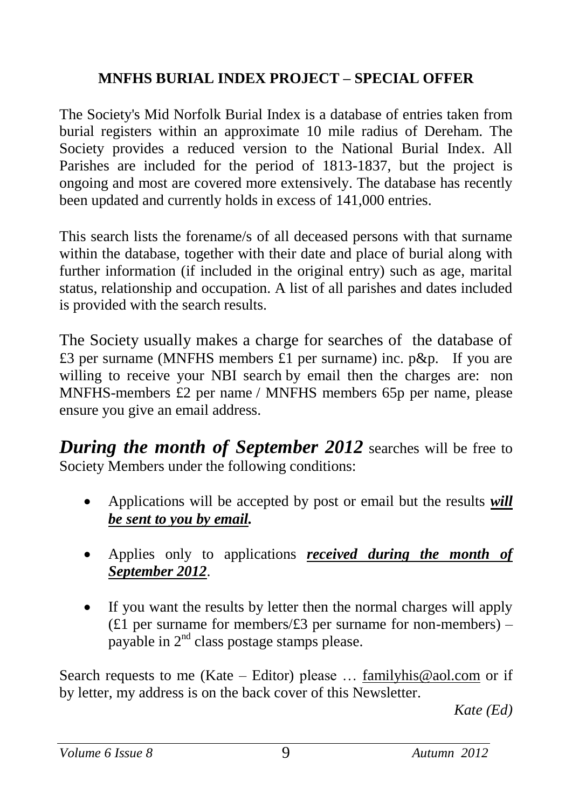### **MNFHS BURIAL INDEX PROJECT – SPECIAL OFFER**

The Society's Mid Norfolk Burial Index is a database of entries taken from burial registers within an approximate 10 mile radius of Dereham. The Society provides a reduced version to the National Burial Index. All Parishes are included for the period of 1813-1837, but the project is ongoing and most are covered more extensively. The database has recently been updated and currently holds in excess of 141,000 entries.

This search lists the forename/s of all deceased persons with that surname within the database, together with their date and place of burial along with further information (if included in the original entry) such as age, marital status, relationship and occupation. A list of all parishes and dates included is provided with the search results.

The Society usually makes a charge for searches of the database of £3 per surname (MNFHS members £1 per surname) inc. p&p. If you are willing to receive your NBI search by email then the charges are: non MNFHS-members £2 per name / MNFHS members 65p per name, please ensure you give an email address.

*During the month of September 2012* searches will be free to Society Members under the following conditions:

- Applications will be accepted by post or email but the results *will be sent to you by email.*
- Applies only to applications *received during the month of September 2012*.
- If you want the results by letter then the normal charges will apply (£1 per surname for members/ $£3$  per surname for non-members) – payable in  $2<sup>nd</sup>$  class postage stamps please.

Search requests to me (Kate – Editor) please ... [familyhis@aol.com](mailto:familyhis@aol.com) or if by letter, my address is on the back cover of this Newsletter.

*Kate (Ed)*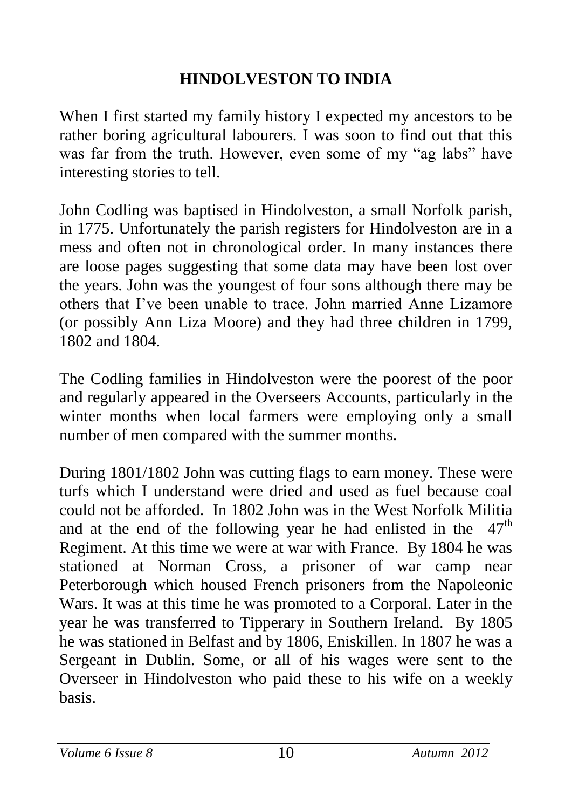## **HINDOLVESTON TO INDIA**

When I first started my family history I expected my ancestors to be rather boring agricultural labourers. I was soon to find out that this was far from the truth. However, even some of my "ag labs" have interesting stories to tell.

John Codling was baptised in Hindolveston, a small Norfolk parish, in 1775. Unfortunately the parish registers for Hindolveston are in a mess and often not in chronological order. In many instances there are loose pages suggesting that some data may have been lost over the years. John was the youngest of four sons although there may be others that I've been unable to trace. John married Anne Lizamore (or possibly Ann Liza Moore) and they had three children in 1799, 1802 and 1804.

The Codling families in Hindolveston were the poorest of the poor and regularly appeared in the Overseers Accounts, particularly in the winter months when local farmers were employing only a small number of men compared with the summer months.

During 1801/1802 John was cutting flags to earn money. These were turfs which I understand were dried and used as fuel because coal could not be afforded. In 1802 John was in the West Norfolk Militia and at the end of the following year he had enlisted in the  $47<sup>th</sup>$ Regiment. At this time we were at war with France. By 1804 he was stationed at Norman Cross, a prisoner of war camp near Peterborough which housed French prisoners from the Napoleonic Wars. It was at this time he was promoted to a Corporal. Later in the year he was transferred to Tipperary in Southern Ireland. By 1805 he was stationed in Belfast and by 1806, Eniskillen. In 1807 he was a Sergeant in Dublin. Some, or all of his wages were sent to the Overseer in Hindolveston who paid these to his wife on a weekly basis.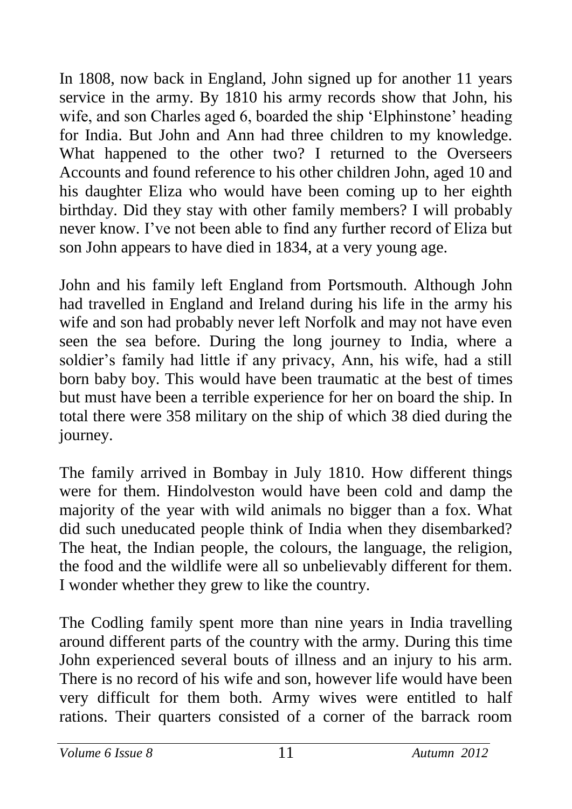In 1808, now back in England, John signed up for another 11 years service in the army. By 1810 his army records show that John, his wife, and son Charles aged 6, boarded the ship 'Elphinstone' heading for India. But John and Ann had three children to my knowledge. What happened to the other two? I returned to the Overseers Accounts and found reference to his other children John, aged 10 and his daughter Eliza who would have been coming up to her eighth birthday. Did they stay with other family members? I will probably never know. I've not been able to find any further record of Eliza but son John appears to have died in 1834, at a very young age.

John and his family left England from Portsmouth. Although John had travelled in England and Ireland during his life in the army his wife and son had probably never left Norfolk and may not have even seen the sea before. During the long journey to India, where a soldier's family had little if any privacy, Ann, his wife, had a still born baby boy. This would have been traumatic at the best of times but must have been a terrible experience for her on board the ship. In total there were 358 military on the ship of which 38 died during the journey.

The family arrived in Bombay in July 1810. How different things were for them. Hindolveston would have been cold and damp the majority of the year with wild animals no bigger than a fox. What did such uneducated people think of India when they disembarked? The heat, the Indian people, the colours, the language, the religion, the food and the wildlife were all so unbelievably different for them. I wonder whether they grew to like the country.

The Codling family spent more than nine years in India travelling around different parts of the country with the army. During this time John experienced several bouts of illness and an injury to his arm. There is no record of his wife and son, however life would have been very difficult for them both. Army wives were entitled to half rations. Their quarters consisted of a corner of the barrack room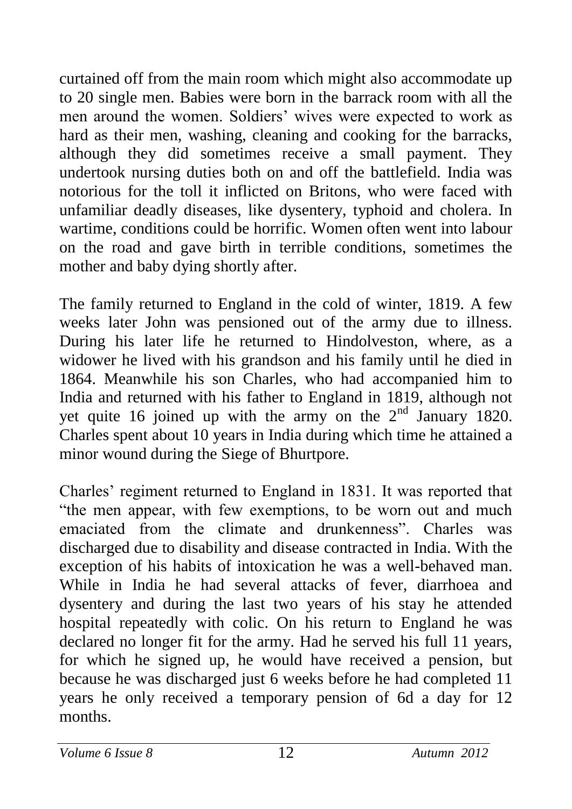curtained off from the main room which might also accommodate up to 20 single men. Babies were born in the barrack room with all the men around the women. Soldiers' wives were expected to work as hard as their men, washing, cleaning and cooking for the barracks, although they did sometimes receive a small payment. They undertook nursing duties both on and off the battlefield. India was notorious for the toll it inflicted on Britons, who were faced with unfamiliar deadly diseases, like dysentery, typhoid and cholera. In wartime, conditions could be horrific. Women often went into labour on the road and gave birth in terrible conditions, sometimes the mother and baby dying shortly after.

The family returned to England in the cold of winter, 1819. A few weeks later John was pensioned out of the army due to illness. During his later life he returned to Hindolveston, where, as a widower he lived with his grandson and his family until he died in 1864. Meanwhile his son Charles, who had accompanied him to India and returned with his father to England in 1819, although not yet quite 16 joined up with the army on the  $2<sup>nd</sup>$  January 1820. Charles spent about 10 years in India during which time he attained a minor wound during the Siege of Bhurtpore.

Charles' regiment returned to England in 1831. It was reported that "the men appear, with few exemptions, to be worn out and much emaciated from the climate and drunkenness". Charles was discharged due to disability and disease contracted in India. With the exception of his habits of intoxication he was a well-behaved man. While in India he had several attacks of fever, diarrhoea and dysentery and during the last two years of his stay he attended hospital repeatedly with colic. On his return to England he was declared no longer fit for the army. Had he served his full 11 years, for which he signed up, he would have received a pension, but because he was discharged just 6 weeks before he had completed 11 years he only received a temporary pension of 6d a day for 12 months.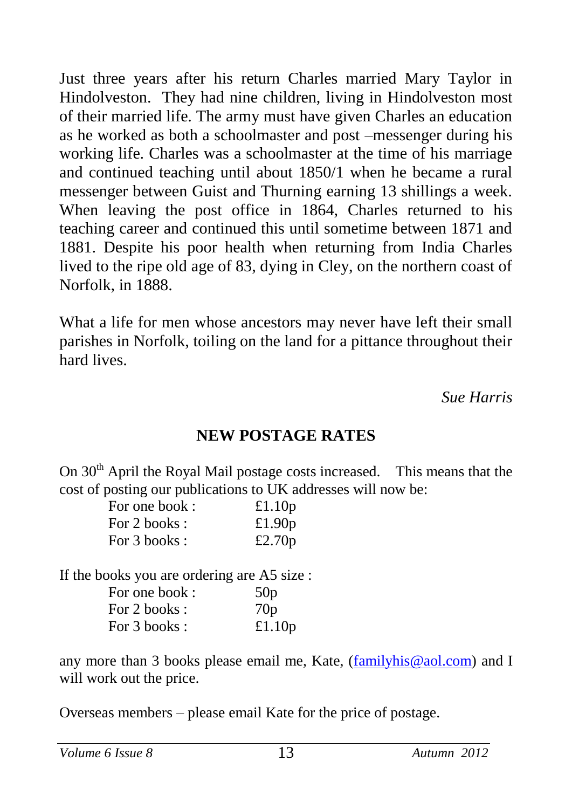Just three years after his return Charles married Mary Taylor in Hindolveston. They had nine children, living in Hindolveston most of their married life. The army must have given Charles an education as he worked as both a schoolmaster and post –messenger during his working life. Charles was a schoolmaster at the time of his marriage and continued teaching until about 1850/1 when he became a rural messenger between Guist and Thurning earning 13 shillings a week. When leaving the post office in 1864, Charles returned to his teaching career and continued this until sometime between 1871 and 1881. Despite his poor health when returning from India Charles lived to the ripe old age of 83, dying in Cley, on the northern coast of Norfolk, in 1888.

What a life for men whose ancestors may never have left their small parishes in Norfolk, toiling on the land for a pittance throughout their hard lives.

*Sue Harris*

### **NEW POSTAGE RATES**

On  $30<sup>th</sup>$  April the Royal Mail postage costs increased. This means that the cost of posting our publications to UK addresses will now be:

| For one book: | £1.10 $p$ |
|---------------|-----------|
| For 2 books : | £1.90 $p$ |
| For 3 books : | £2.70 $p$ |

If the books you are ordering are A5 size :

| For one book: | 50p       |
|---------------|-----------|
| For 2 books : | 70p       |
| For 3 books : | £1.10 $p$ |

any more than 3 books please email me, Kate, [\(familyhis@aol.com\)](mailto:familyhis@aol.com) and I will work out the price.

Overseas members – please email Kate for the price of postage.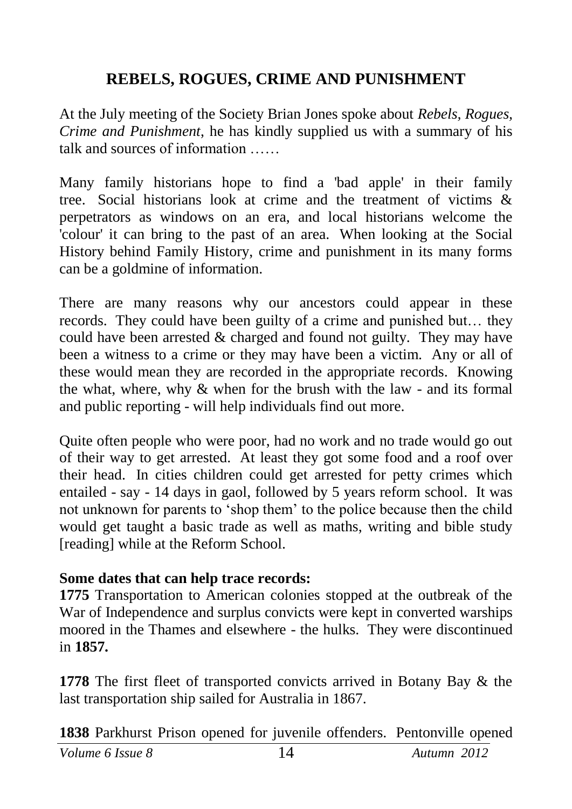## **REBELS, ROGUES, CRIME AND PUNISHMENT**

At the July meeting of the Society Brian Jones spoke about *Rebels, Rogues, Crime and Punishment*, he has kindly supplied us with a summary of his talk and sources of information

Many family historians hope to find a 'bad apple' in their family tree. Social historians look at crime and the treatment of victims & perpetrators as windows on an era, and local historians welcome the 'colour' it can bring to the past of an area. When looking at the Social History behind Family History, crime and punishment in its many forms can be a goldmine of information.

There are many reasons why our ancestors could appear in these records. They could have been guilty of a crime and punished but… they could have been arrested & charged and found not guilty. They may have been a witness to a crime or they may have been a victim. Any or all of these would mean they are recorded in the appropriate records. Knowing the what, where, why & when for the brush with the law - and its formal and public reporting - will help individuals find out more.

Quite often people who were poor, had no work and no trade would go out of their way to get arrested. At least they got some food and a roof over their head. In cities children could get arrested for petty crimes which entailed - say - 14 days in gaol, followed by 5 years reform school. It was not unknown for parents to 'shop them' to the police because then the child would get taught a basic trade as well as maths, writing and bible study [reading] while at the Reform School.

#### **Some dates that can help trace records:**

**1775** Transportation to American colonies stopped at the outbreak of the War of Independence and surplus convicts were kept in converted warships moored in the Thames and elsewhere - the hulks. They were discontinued in **1857.**

**1778** The first fleet of transported convicts arrived in Botany Bay & the last transportation ship sailed for Australia in 1867.

**1838** Parkhurst Prison opened for juvenile offenders. Pentonville opened

*Volume 6 Issue 8* 14 *Autumn 2012*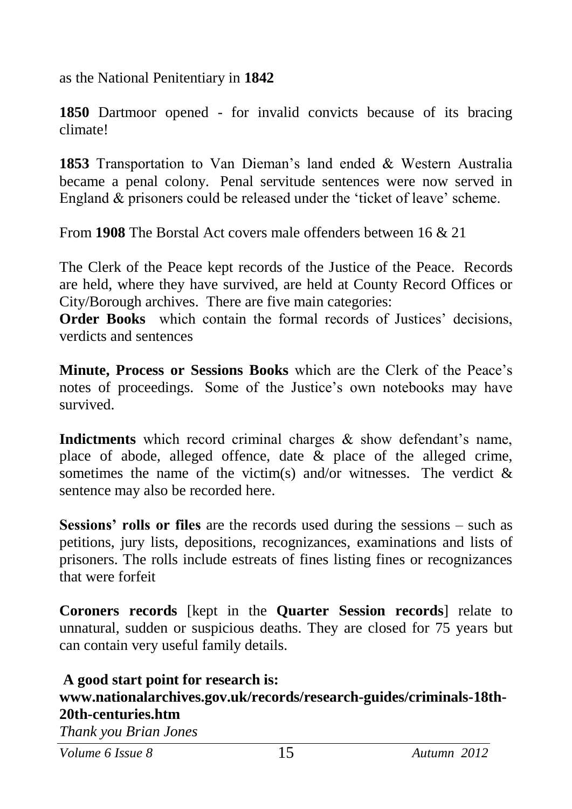as the National Penitentiary in **1842**

**1850** Dartmoor opened - for invalid convicts because of its bracing climate!

**1853** Transportation to Van Dieman's land ended & Western Australia became a penal colony. Penal servitude sentences were now served in England & prisoners could be released under the 'ticket of leave' scheme.

From **1908** The Borstal Act covers male offenders between 16 & 21

The Clerk of the Peace kept records of the Justice of the Peace. Records are held, where they have survived, are held at County Record Offices or City/Borough archives. There are five main categories:

**Order Books** which contain the formal records of Justices' decisions, verdicts and sentences

**Minute, Process or Sessions Books** which are the Clerk of the Peace's notes of proceedings. Some of the Justice's own notebooks may have survived.

**Indictments** which record criminal charges & show defendant's name, place of abode, alleged offence, date & place of the alleged crime, sometimes the name of the victim(s) and/or witnesses. The verdict  $\&$ sentence may also be recorded here.

**Sessions' rolls or files** are the records used during the sessions – such as petitions, jury lists, depositions, recognizances, examinations and lists of prisoners. The rolls include estreats of fines listing fines or recognizances that were forfeit

**Coroners records** [kept in the **Quarter Session records**] relate to unnatural, sudden or suspicious deaths. They are closed for 75 years but can contain very useful family details.

#### **A good start point for research is: www.nationalarchives.gov.uk/records/research-guides/criminals-18th-20th-centuries.htm**

*Thank you Brian Jones*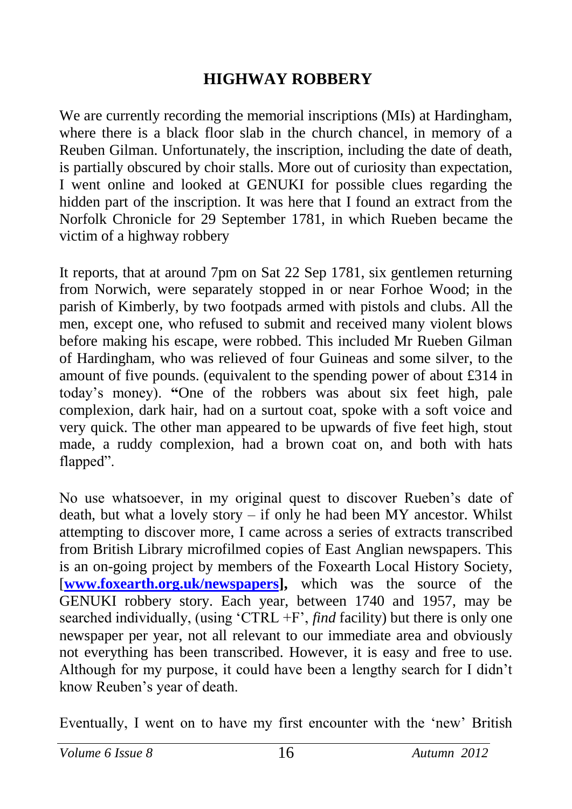## **HIGHWAY ROBBERY**

We are currently recording the memorial inscriptions (MIs) at Hardingham, where there is a black floor slab in the church chancel, in memory of a Reuben Gilman. Unfortunately, the inscription, including the date of death, is partially obscured by choir stalls. More out of curiosity than expectation, I went online and looked at GENUKI for possible clues regarding the hidden part of the inscription. It was here that I found an extract from the Norfolk Chronicle for 29 September 1781, in which Rueben became the victim of a highway robbery

It reports, that at around 7pm on Sat 22 Sep 1781, six gentlemen returning from Norwich, were separately stopped in or near Forhoe Wood; in the parish of Kimberly, by two footpads armed with pistols and clubs. All the men, except one, who refused to submit and received many violent blows before making his escape, were robbed. This included Mr Rueben Gilman of Hardingham, who was relieved of four Guineas and some silver, to the amount of five pounds. (equivalent to the spending power of about £314 in today's money). **"**One of the robbers was about six feet high, pale complexion, dark hair, had on a surtout coat, spoke with a soft voice and very quick. The other man appeared to be upwards of five feet high, stout made, a ruddy complexion, had a brown coat on, and both with hats flapped".

No use whatsoever, in my original quest to discover Rueben's date of death, but what a lovely story – if only he had been MY ancestor. Whilst attempting to discover more, I came across a series of extracts transcribed from British Library microfilmed copies of East Anglian newspapers. This is an on-going project by members of the Foxearth Local History Society, [**[www.foxearth.org.uk/newspapers\]](http://www.foxearth.org.uk/newspapers),** which was the source of the GENUKI robbery story. Each year, between 1740 and 1957, may be searched individually, (using 'CTRL +F', *find* facility) but there is only one newspaper per year, not all relevant to our immediate area and obviously not everything has been transcribed. However, it is easy and free to use. Although for my purpose, it could have been a lengthy search for I didn't know Reuben's year of death.

Eventually, I went on to have my first encounter with the 'new' British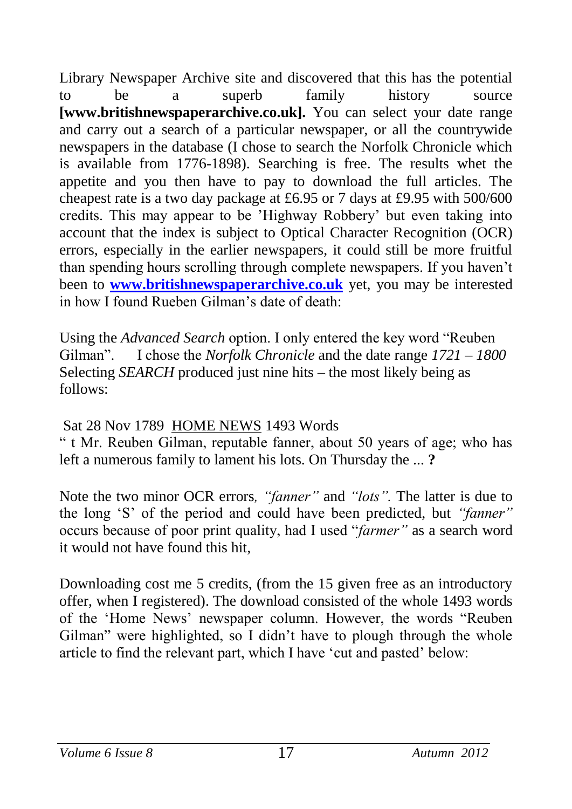Library Newspaper Archive site and discovered that this has the potential to be a superb family history source **[www.britishnewspaperarchive.co.uk].** You can select your date range and carry out a search of a particular newspaper, or all the countrywide newspapers in the database (I chose to search the Norfolk Chronicle which is available from 1776-1898). Searching is free. The results whet the appetite and you then have to pay to download the full articles. The cheapest rate is a two day package at £6.95 or 7 days at £9.95 with 500/600 credits. This may appear to be 'Highway Robbery' but even taking into account that the index is subject to Optical Character Recognition (OCR) errors, especially in the earlier newspapers, it could still be more fruitful than spending hours scrolling through complete newspapers. If you haven't been to **[www.britishnewspaperarchive.co.uk](http://www.britishnewspaperarchive.co.uk/)** yet, you may be interested in how I found Rueben Gilman's date of death:

Using the *Advanced Search* option. I only entered the key word "Reuben Gilman". I chose the *Norfolk Chronicle* and the date range *1721 – 1800* Selecting *SEARCH* produced just nine hits – the most likely being as follows:

#### Sat 28 Nov 1789 [HOME NEWS](http://www.britishnewspaperarchive.co.uk/viewer/bl/0000246/17891128/004/0002) 1493 Words

" t Mr. Reuben Gilman, reputable fanner, about 50 years of age; who has left a numerous family to lament his lots. On Thursday the ... **?**

Note the two minor OCR errors*, "fanner"* and *"lots".* The latter is due to the long 'S' of the period and could have been predicted, but *"fanner"* occurs because of poor print quality, had I used "*farmer"* as a search word it would not have found this hit

Downloading cost me 5 credits, (from the 15 given free as an introductory offer, when I registered). The download consisted of the whole 1493 words of the 'Home News' newspaper column. However, the words "Reuben Gilman" were highlighted, so I didn't have to plough through the whole article to find the relevant part, which I have 'cut and pasted' below: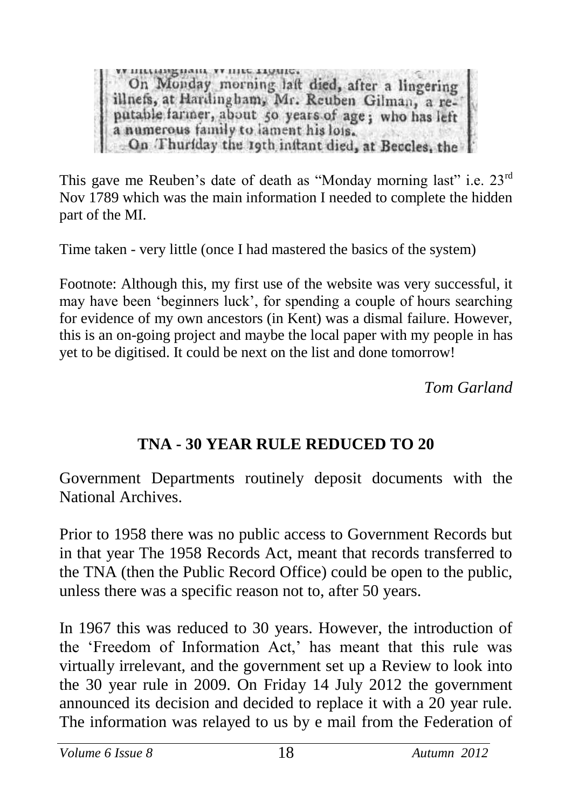пикими, уушке ттошет On Monday morning laft died, after a lingering illnefs, at Hardingham, Mr. Reuben Gilman, a rea numerous family to lament his lois. On Thuriday the 19th initant died, at Beccles, the

This gave me Reuben's date of death as "Monday morning last" i.e. 23<sup>rd</sup> Nov 1789 which was the main information I needed to complete the hidden part of the MI.

Time taken - very little (once I had mastered the basics of the system)

Footnote: Although this, my first use of the website was very successful, it may have been 'beginners luck', for spending a couple of hours searching for evidence of my own ancestors (in Kent) was a dismal failure. However, this is an on-going project and maybe the local paper with my people in has yet to be digitised. It could be next on the list and done tomorrow!

*Tom Garland*

## **TNA - 30 YEAR RULE REDUCED TO 20**

Government Departments routinely deposit documents with the National Archives.

Prior to 1958 there was no public access to Government Records but in that year The 1958 Records Act, meant that records transferred to the TNA (then the Public Record Office) could be open to the public, unless there was a specific reason not to, after 50 years.

In 1967 this was reduced to 30 years. However, the introduction of the 'Freedom of Information Act,' has meant that this rule was virtually irrelevant, and the government set up a Review to look into the 30 year rule in 2009. On Friday 14 July 2012 the government announced its decision and decided to replace it with a 20 year rule. The information was relayed to us by e mail from the Federation of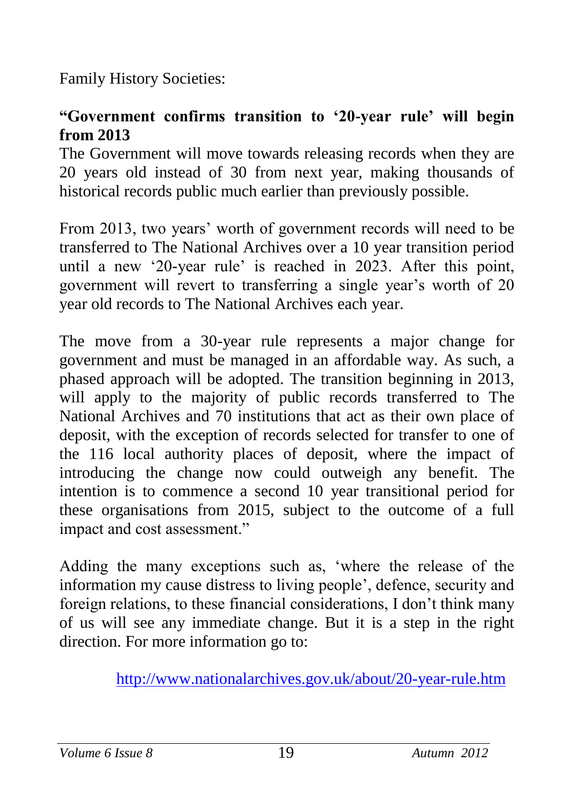Family History Societies:

## **"Government confirms transition to '20-year rule' will begin from 2013**

The Government will move towards releasing records when they are 20 years old instead of 30 from next year, making thousands of historical records public much earlier than previously possible.

From 2013, two years' worth of government records will need to be transferred to The National Archives over a 10 year transition period until a new '20-year rule' is reached in 2023. After this point, government will revert to transferring a single year's worth of 20 year old records to The National Archives each year.

The move from a 30-year rule represents a major change for government and must be managed in an affordable way. As such, a phased approach will be adopted. The transition beginning in 2013, will apply to the majority of public records transferred to The National Archives and 70 institutions that act as their own place of deposit, with the exception of records selected for transfer to one of the 116 local authority places of deposit, where the impact of introducing the change now could outweigh any benefit. The intention is to commence a second 10 year transitional period for these organisations from 2015, subject to the outcome of a full impact and cost assessment."

Adding the many exceptions such as, 'where the release of the information my cause distress to living people', defence, security and foreign relations, to these financial considerations, I don't think many of us will see any immediate change. But it is a step in the right direction. For more information go to:

<http://www.nationalarchives.gov.uk/about/20-year-rule.htm>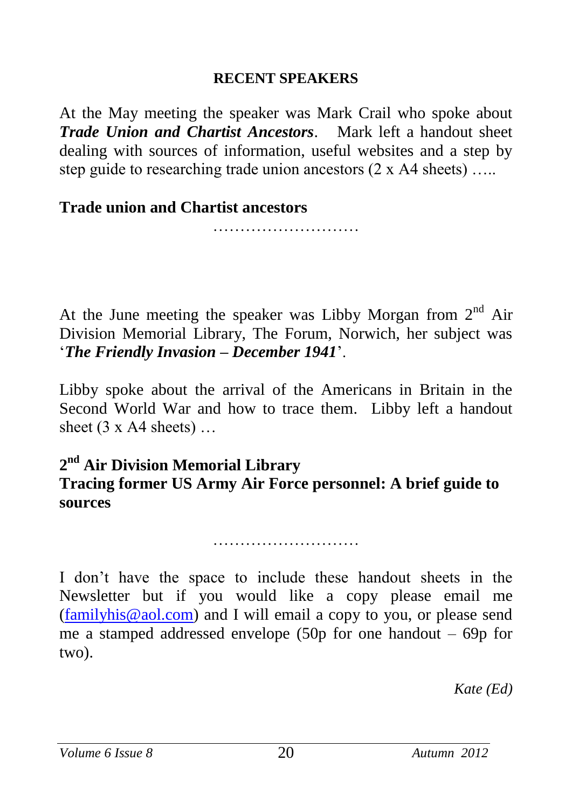#### **RECENT SPEAKERS**

At the May meeting the speaker was Mark Crail who spoke about *Trade Union and Chartist Ancestors*. Mark left a handout sheet dealing with sources of information, useful websites and a step by step guide to researching trade union ancestors  $(2 \times A4$  sheets) ....

**Trade union and Chartist ancestors** 

………………………

At the June meeting the speaker was Libby Morgan from  $2<sup>nd</sup>$  Air Division Memorial Library, The Forum, Norwich, her subject was '*The Friendly Invasion – December 1941*'.

Libby spoke about the arrival of the Americans in Britain in the Second World War and how to trace them. Libby left a handout sheet  $(3 \times A4$  sheets) ...

### **2 nd Air Division Memorial Library Tracing former US Army Air Force personnel: A brief guide to sources**

……………………………………

I don't have the space to include these handout sheets in the Newsletter but if you would like a copy please email me [\(familyhis@aol.com\)](mailto:familyhis@aol.com) and I will email a copy to you, or please send me a stamped addressed envelope (50p for one handout – 69p for two).

*Kate (Ed)*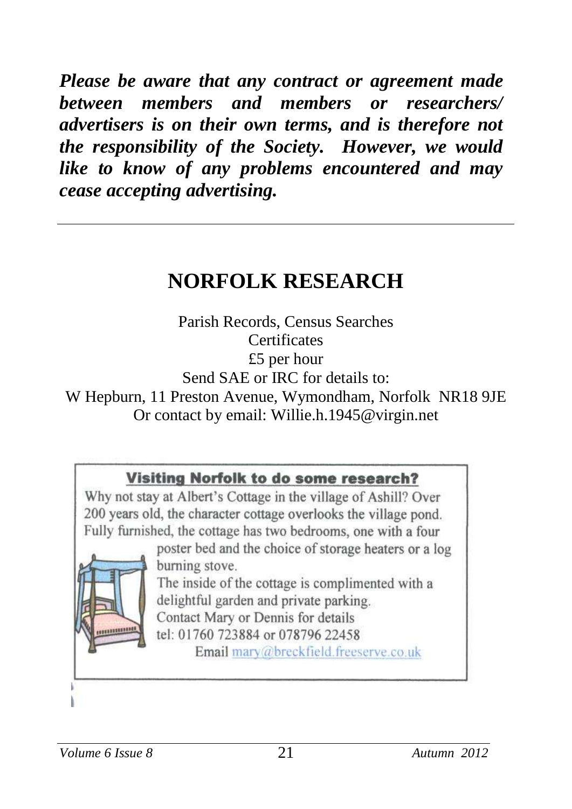*Please be aware that any contract or agreement made between members and members or researchers/ advertisers is on their own terms, and is therefore not the responsibility of the Society. However, we would like to know of any problems encountered and may cease accepting advertising.*

# **NORFOLK RESEARCH**

Parish Records, Census Searches **Certificates** £5 per hour Send SAE or IRC for details to: W Hepburn, 11 Preston Avenue, Wymondham, Norfolk NR18 9JE Or contact by email: Willie.h.1945@virgin.net

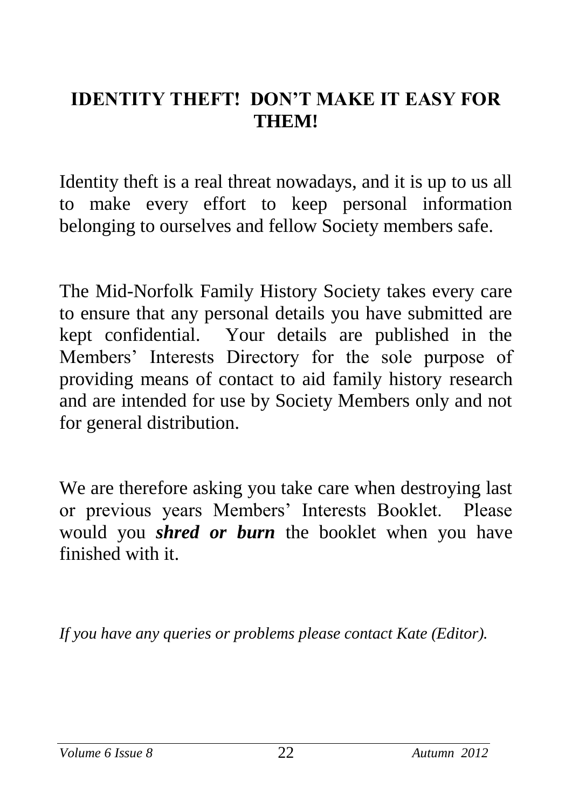# **IDENTITY THEFT! DON'T MAKE IT EASY FOR THEM!**

Identity theft is a real threat nowadays, and it is up to us all to make every effort to keep personal information belonging to ourselves and fellow Society members safe.

The Mid-Norfolk Family History Society takes every care to ensure that any personal details you have submitted are kept confidential. Your details are published in the Members' Interests Directory for the sole purpose of providing means of contact to aid family history research and are intended for use by Society Members only and not for general distribution.

We are therefore asking you take care when destroying last or previous years Members' Interests Booklet. Please would you *shred or burn* the booklet when you have finished with it.

*If you have any queries or problems please contact Kate (Editor).*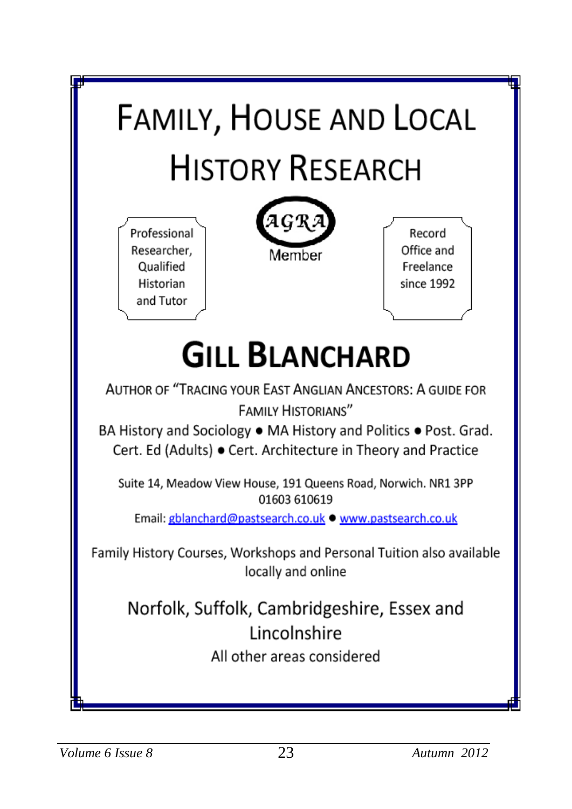